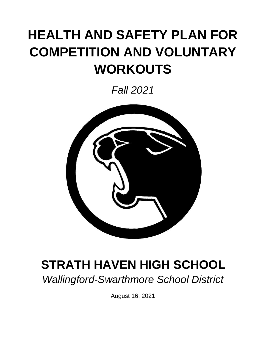# **HEALTH AND SAFETY PLAN FOR COMPETITION AND VOLUNTARY WORKOUTS**

*Fall 2021*



## **STRATH HAVEN HIGH SCHOOL**

*Wallingford-Swarthmore School District*

August 16, 2021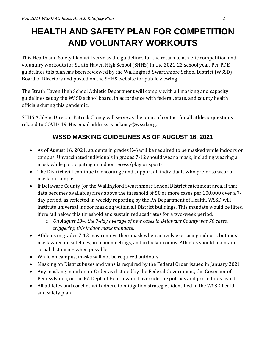### **HEALTH AND SAFETY PLAN FOR COMPETITION AND VOLUNTARY WORKOUTS**

This Health and Safety Plan will serve as the guidelines for the return to athletic competition and voluntary workouts for Strath Haven High School (SHHS) in the 2021-22 school year. Per PDE guidelines this plan has been reviewed by the Wallingford-Swarthmore School District (WSSD) Board of Directors and posted on the SHHS website for public viewing.

The Strath Haven High School Athletic Department will comply with all masking and capacity guidelines set by the WSSD school board, in accordance with federal, state, and county health officials during this pandemic.

SHHS Athletic Director Patrick Clancy will serve as the point of contact for all athletic questions related to COVID-19. His email address is pclancy@wssd.org.

#### **WSSD MASKING GUIDELINES AS OF AUGUST 16, 2021**

- As of August 16, 2021, students in grades K-6 will be required to be masked while indoors on campus. Unvaccinated individuals in grades 7-12 should wear a mask, including wearing a mask while participating in indoor recess/play or sports.
- The District will continue to encourage and support all individuals who prefer to wear a mask on campus.
- If Delaware County (or the Wallingford Swarthmore School District catchment area, if that data becomes available) rises above the threshold of 50 or more cases per 100,000 over a 7 day period, as reflected in weekly reporting by the PA Department of Health, WSSD will institute universal indoor masking within all District buildings. This mandate would be lifted if we fall below this threshold and sustain reduced rates for a two-week period.
	- o *On August 13th, the 7-day average of new cases in Delaware County was 76 cases, triggering this indoor mask mandate.*
- Athletes in grades 7-12 may remove their mask when actively exercising indoors, but must mask when on sidelines, in team meetings, and in locker rooms. Athletes should maintain social distancing when possible.
- While on campus, masks will not be required outdoors.
- Masking on District buses and vans is required by the Federal Order issued in January 2021
- Any masking mandate or Order as dictated by the Federal Government, the Governor of Pennsylvania, or the PA Dept. of Health would override the policies and procedures listed
- All athletes and coaches will adhere to mitigation strategies identified in the WSSD health and safety plan.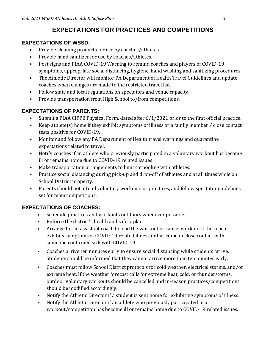#### **EXPECTATIONS FOR PRACTICES AND COMPETITIONS**

#### **EXPECTATIONS OF WSSD:**

- Provide cleaning products for use by coaches/athletes.
- Provide hand sanitizer for use by coaches/athletes.
- Post signs and PIAA COVID-19 Warning to remind coaches and players of COVID-19 symptoms, appropriate social distancing, hygiene, hand washing and sanitizing procedures.
- The Athletic Director will monitor PA Department of Health Travel Guidelines and update coaches when changes are made to the restricted travel list.
- Follow state and local regulations on spectators and venue capacity.
- Provide transportation from High School to/from competitions.

#### **EXPECTATIONS OF PARENTS:**

- Submit a PIAA CIPPE Physical Form, dated after 6/1/2021 prior to the first official practice.
- Keep athlete(s) home if they exhibit symptoms of illness or a family member / close contact tests positive for COVID-19.
- Monitor and follow any PA Department of Health travel warnings and quarantine expectations related to travel.
- Notify coaches if an athlete who previously participated in a voluntary workout has become ill or remains home due to COVID-19 related issues
- Make transportation arrangements to limit carpooling with athletes.
- Practice social distancing during pick-up and drop-off of athletes and at all times while on School District property.
- Parents should not attend voluntary workouts or practices, and follow spectator guidelines set for team competitions.

#### **EXPECTATIONS OF COACHES:**

- Schedule practices and workouts outdoors whenever possible.
- Enforce the district's health and safety plan
- Arrange for an assistant coach to lead the workout or cancel workout if the coach exhibits symptoms of COVID-19 related illness or has come in close contact with someone confirmed sick with COVID-19.
- Coaches arrive ten minutes early to ensure social distancing while students arrive. Students should be informed that they cannot arrive more than ten minutes early.
- Coaches must follow School District protocols for cold weather, electrical storms, and/or extreme heat. If the weather forecast calls for extreme heat, cold, or thunderstorms, outdoor voluntary workouts should be cancelled and in-season practices/competitions should be modified accordingly.
- Notify the Athletic Director if a student is sent home for exhibiting symptoms of illness.
- Notify the Athletic Director if an athlete who previously participated in a workout/competition has become ill or remains home due to COVID-19 related issues.